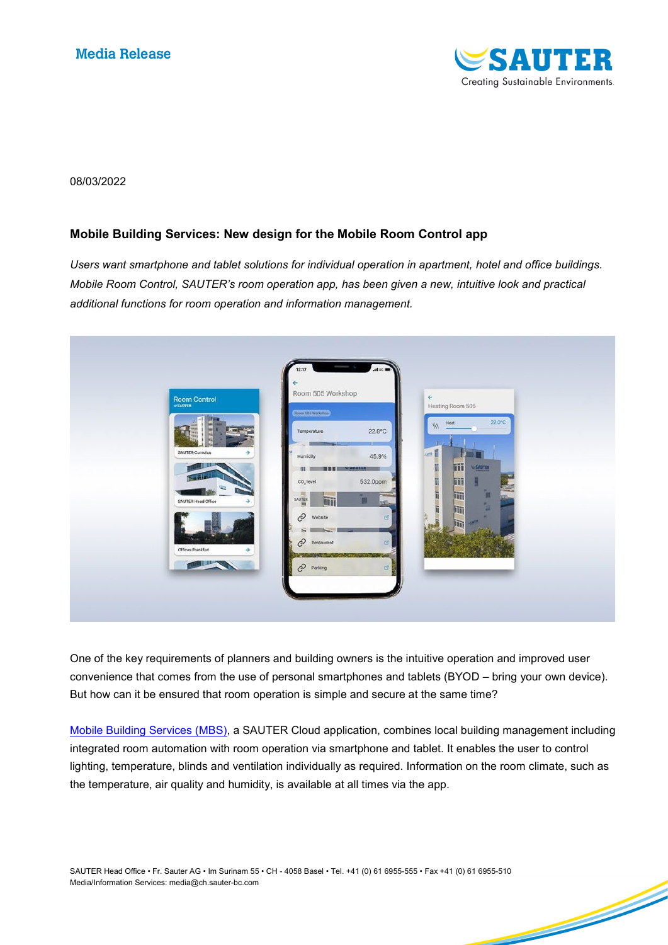

<u>Single Strong Contract on the Contract of the Contract of the Contract of The Contract of The Contract of The Contract of The Contract of The Contract of The Contract of The Contract of The Contract of The Contract of The</u>

#### 08/03/2022

# **Mobile Building Services: New design for the Mobile Room Control app**

*Users want smartphone and tablet solutions for individual operation in apartment, hotel and office buildings. Mobile Room Control, SAUTER's room operation app, has been given a new, intuitive look and practical additional functions for room operation and information management.* 



One of the key requirements of planners and building owners is the intuitive operation and improved user convenience that comes from the use of personal smartphones and tablets (BYOD – bring your own device). But how can it be ensured that room operation is simple and secure at the same time?

[Mobile Building Services \(MBS\),](https://www.sauter-controls.com/en/product/mobile-building-services/) a SAUTER Cloud application, combines local building management including integrated room automation with room operation via smartphone and tablet. It enables the user to control lighting, temperature, blinds and ventilation individually as required. Information on the room climate, such as the temperature, air quality and humidity, is available at all times via the app.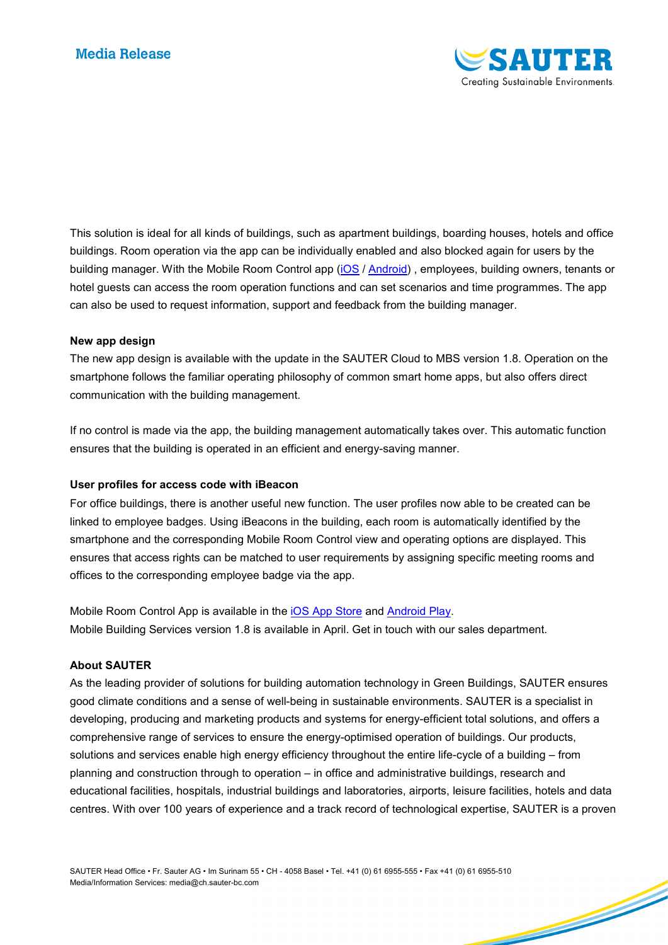

<u>San British San British San British San British San British San British San British San British San British S</u>

This solution is ideal for all kinds of buildings, such as apartment buildings, boarding houses, hotels and office buildings. Room operation via the app can be individually enabled and also blocked again for users by the building manager. With the Mobile Room Control app [\(iOS](https://apps.apple.com/ch/app/mobile-room-control/id1442188182) / [Android\)](https://play.google.com/store/apps/details?id=sauter.buildingServices.mobileBuildingApp&hl=en_US&gl=US) , employees, building owners, tenants or hotel guests can access the room operation functions and can set scenarios and time programmes. The app can also be used to request information, support and feedback from the building manager.

#### **New app design**

The new app design is available with the update in the SAUTER Cloud to MBS version 1.8. Operation on the smartphone follows the familiar operating philosophy of common smart home apps, but also offers direct communication with the building management.

If no control is made via the app, the building management automatically takes over. This automatic function ensures that the building is operated in an efficient and energy-saving manner.

### **User profiles for access code with iBeacon**

For office buildings, there is another useful new function. The user profiles now able to be created can be linked to employee badges. Using iBeacons in the building, each room is automatically identified by the smartphone and the corresponding Mobile Room Control view and operating options are displayed. This ensures that access rights can be matched to user requirements by assigning specific meeting rooms and offices to the corresponding employee badge via the app.

Mobile Room Control App is available in the [iOS App Store](https://apps.apple.com/ch/app/mobile-room-control/id1442188182) and [Android Play.](https://play.google.com/store/apps/details?id=sauter.buildingServices.mobileBuildingApp&hl=en_US&gl=US) Mobile Building Services version 1.8 is available in April. Get in touch with our sales department.

### **About SAUTER**

As the leading provider of solutions for building automation technology in Green Buildings, SAUTER ensures good climate conditions and a sense of well-being in sustainable environments. SAUTER is a specialist in developing, producing and marketing products and systems for energy-efficient total solutions, and offers a comprehensive range of services to ensure the energy-optimised operation of buildings. Our products, solutions and services enable high energy efficiency throughout the entire life-cycle of a building – from planning and construction through to operation – in office and administrative buildings, research and educational facilities, hospitals, industrial buildings and laboratories, airports, leisure facilities, hotels and data centres. With over 100 years of experience and a track record of technological expertise, SAUTER is a proven